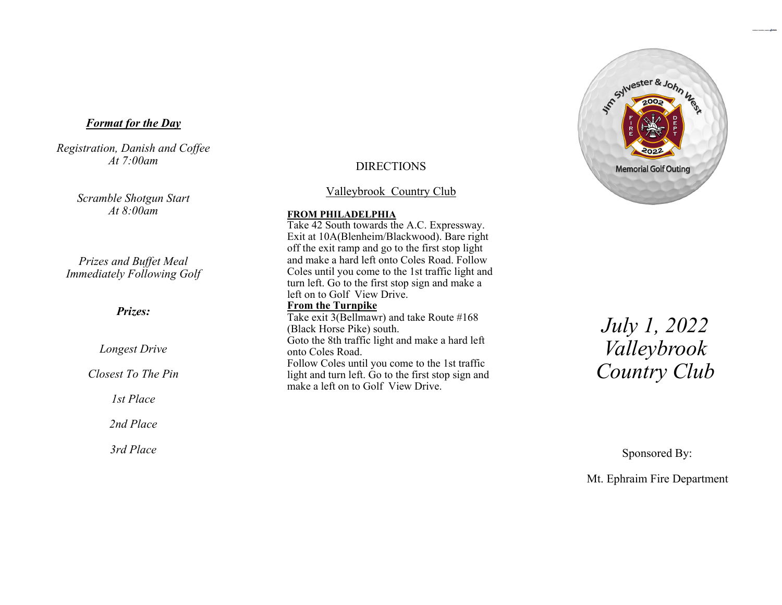### *Format for the Day*

*Registration, Danish and Coffee At 7:00am* 

> *Scramble Shotgun Start At 8:00am*

*Prizes and Buffet Meal Immediately Following Golf* 

## *Prizes:*

*Longest Drive* 

*Closest To The Pin* 

*1st Place* 

*2nd Place* 

*3rd Place* 

# DIRECTIONS

Valleybrook Country Club

#### **FROM PHILADELPHIA**

Take 42 South towards the A.C. Expressway. Exit at 10A(Blenheim/Blackwood). Bare right off the exit ramp and go to the first stop light and make a hard left onto Coles Road. Follow Coles until you come to the 1st traffic light and turn left. Go to the first stop sign and make a left on to Golf View Drive. **From the Turnpike**  Take exit 3(Bellmawr) and take Route #168 (Black Horse Pike) south. Goto the 8th traffic light and make a hard left onto Coles Road. Follow Coles until you come to the 1st traffic light and turn left. Go to the first stop sign and make a left on to Golf View Drive.



*July 1, 2022 Valleybrook Country Club* 

Sponsored By:

Mt. Ephraim Fire Department